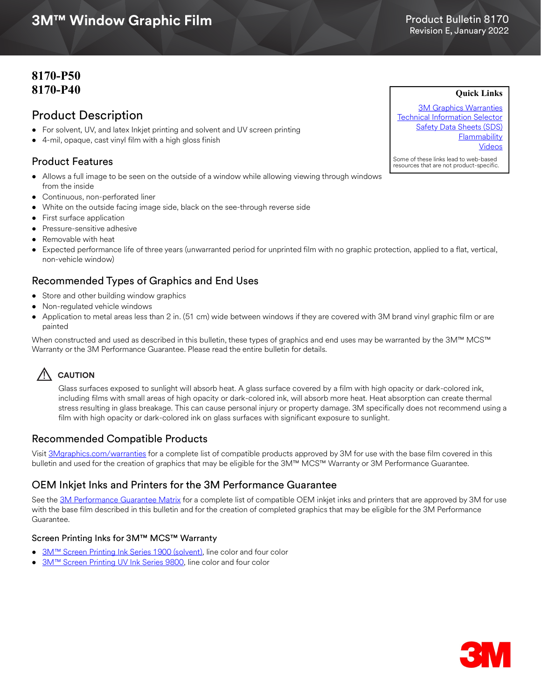# 3M™ Window Graphic Film Revision E, January 2022 **3M™ Window Graphic Film**

# Product Bulletin 8170

**Quick Links**

# **8170-P50 8170-P40**

## Product Description

- For solvent, UV, and latex Inkjet printing and solvent and UV screen printing
- 4-mil, opaque, cast vinyl film with a high gloss finish

## Product Features

- Allows a full image to be seen on the outside of a window while allowing viewing through windows from the inside
- Continuous, non-perforated liner
- White on the outside facing image side, black on the see-through reverse side
- First surface application
- Pressure-sensitive adhesive
- Removable with heat
- Expected performance life of three years (unwarranted period for unprinted film with no graphic protection, applied to a flat, vertical, non-vehicle window)

## Recommended Types of Graphics and End Uses

- Store and other building window graphics
- Non-regulated vehicle windows
- Application to metal areas less than 2 in. (51 cm) wide between windows if they are covered with 3M brand vinyl graphic film or are painted

When constructed and used as described in this bulletin, these types of graphics and end uses may be warranted by the 3M™ MCS™ Warranty or the 3M Performance Guarantee. Please read the entire bulletin for details.

# ! **CAUTION**

Glass surfaces exposed to sunlight will absorb heat. A glass surface covered by a film with high opacity or dark-colored ink, including films with small areas of high opacity or dark-colored ink, will absorb more heat. Heat absorption can create thermal stress resulting in glass breakage. This can cause personal injury or property damage. 3M specifically does not recommend using a film with high opacity or dark-colored ink on glass surfaces with significant exposure to sunlight.

## Recommended Compatible Products

Visit [3Mgraphics.com/warranties](http://solutions.3m.com/wps/portal/3M/en_US/Graphics/3Mgraphics/ToolsandSupport/Warranties/?WT.mc_id=www.3mgraphics.com/warranties) for a complete list of compatible products approved by 3M for use with the base film covered in this bulletin and used for the creation of graphics that may be eligible for the 3M™ MCS™ Warranty or 3M Performance Guarantee.

## OEM Inkjet Inks and Printers for the 3M Performance Guarantee

See the [3M Performance Guarantee Matrix](http://multimedia.3m.com/mws/media/443364O/pg-printer-ink-film-linked-warranty-matrix.pdf?fn=PG%20Warranty%20Matrix.pdf) for a complete list of compatible OEM inkjet inks and printers that are approved by 3M for use with the base film described in this bulletin and for the creation of completed graphics that may be eligible for the 3M Performance Guarantee.

#### Screen Printing Inks for 3M™ MCS™ Warranty

- [3M™ Screen Printing Ink Series 1900 \(solvent\)](http://multimedia.3m.com/mws/media/12348O/1900-solvent-screen-print-ink-line-and-four-color-clears.pdf), line color and four color
- [3M™ Screen Printing UV Ink Series 9800,](http://multimedia.3m.com/mws/media/381379O/9800-uv-screen-print-ink-line-and-four-color-clears.pdf) line color and four color

[3M Graphics Warranties](http://solutions.3m.com/wps/portal/3M/en_US/Graphics/3Mgraphics/ToolsandSupport/Warranties/?WT.mc_id=www.3mgraphics.com/warranties) [Technical Information Selector](http://solutions.3m.com/wps/portal/3M/en_US/Graphics/3Mgraphics/ToolsAndSupport/TechnicalInformation/) [Safety Data Sheets \(SDS\)](http://solutions.3m.com/wps/portal/3M/en_WW/MSDS/Search?gsaAction=msdsSRA) **Flammability** [Videos](https://www.youtube.com/c/3MFilms)

Some of these links lead to web-based resources that are not product-specific.

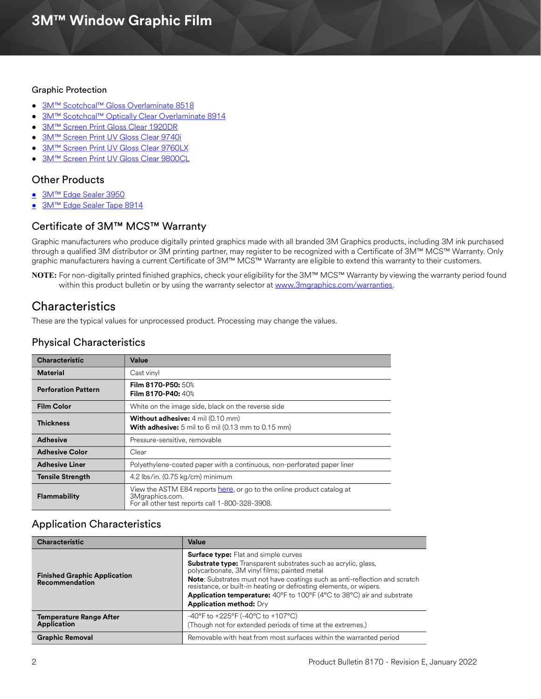#### Graphic Protection

- 3M<sup>™</sup> Scotchcal™ Gloss Overlaminate 8518
- [3M™ Scotchcal™ Optically Clear Overlaminate 8914](http://multimedia.3m.com/mws/media/558531O/product-bulletin-gp-1.pdf)
- [3M™ Screen Print Gloss Clear 1920DR](http://multimedia.3m.com/mws/media/12348O/1900-solvent-screen-print-ink-line-and-four-color-clears.pdf)
- [3M™ Screen Print UV Gloss Clear 9740i](http://multimedia.3m.com/mws/media/788729O/uv-clear-inkjet-and-screen-print.pdf)
- [3](https://multimedia.3m.com/mws/media/1069532O/3m-screen-print-uv-gloss-clear-9760lx.pdf)M™ Screen Print UV Gloss Clear 9760LX
- [3M™ Screen Print UV Gloss Clear 9800CL](http://multimedia.3m.com/mws/media/381379O/9800-uv-screen-print-ink-line-and-four-color-clears.pdf)

## Other Products

- [3M™ Edge Sealer 3950](http://multimedia.3m.com/mws/media/114158O/edge-sealer-3950-4150s-and-edge-sealer-tape-8914.pdf)
- [3M™ Edge Sealer Tape 8914](https://multimedia.3m.com/mws/media/114158O/edge-sealer-3950-4150s-and-edge-sealer-tape-8914.pdf)

## Certificate of 3M™ MCS™ Warranty

Graphic manufacturers who produce digitally printed graphics made with all branded 3M Graphics products, including 3M ink purchased through a qualified 3M distributor or 3M printing partner, may register to be recognized with a Certificate of 3M™ MCS™ Warranty. Only graphic manufacturers having a current Certificate of 3M™ MCS™ Warranty are eligible to extend this warranty to their customers.

**NOTE:** For non-digitally printed finished graphics, check your eligibility for the 3M™ MCS™ Warranty by viewing the warranty period found within this product bulletin or by using the warranty selector at <www.3mgraphics.com/warranties>.

# **Characteristics**

These are the typical values for unprocessed product. Processing may change the values.

## Physical Characteristics

| <b>Characteristic</b>      | Value                                                                                                                                        |
|----------------------------|----------------------------------------------------------------------------------------------------------------------------------------------|
| <b>Material</b>            | Cast vinyl                                                                                                                                   |
| <b>Perforation Pattern</b> | <b>Film 8170-P50:</b> 50%<br>Film 8170-P40: 40%                                                                                              |
| <b>Film Color</b>          | White on the image side, black on the reverse side                                                                                           |
| <b>Thickness</b>           | <b>Without adhesive:</b> 4 mil (0.10 mm)<br><b>With adhesive:</b> 5 mil to 6 mil (0.13 mm to 0.15 mm)                                        |
| <b>Adhesive</b>            | Pressure-sensitive, removable                                                                                                                |
| <b>Adhesive Color</b>      | Clear                                                                                                                                        |
| <b>Adhesive Liner</b>      | Polyethylene-coated paper with a continuous, non-perforated paper liner                                                                      |
| <b>Tensile Strength</b>    | 4.2 lbs/in. (0.75 kg/cm) minimum                                                                                                             |
| <b>Flammability</b>        | View the ASTM E84 reports here, or go to the online product catalog at<br>3Mgraphics.com.<br>For all other test reports call 1-800-328-3908. |

## Application Characteristics

| <b>Characteristic</b>                                        | Value                                                                                                                                                                                                                                                                                                                                                                                                                                        |
|--------------------------------------------------------------|----------------------------------------------------------------------------------------------------------------------------------------------------------------------------------------------------------------------------------------------------------------------------------------------------------------------------------------------------------------------------------------------------------------------------------------------|
| <b>Finished Graphic Application</b><br><b>Recommendation</b> | <b>Surface type:</b> Flat and simple curves<br><b>Substrate type:</b> Transparent substrates such as acrylic, glass,<br>polycarbonate, 3M vinyl films; painted metal<br><b>Note:</b> Substrates must not have coatings such as anti-reflection and scratch<br>resistance, or built-in heating or defrosting elements, or wipers.<br>Application temperature: 40°F to 100°F (4°C to 38°C) air and substrate<br><b>Application method: Dry</b> |
| <b>Temperature Range After</b><br><b>Application</b>         | -40°F to +225°F (-40°C to +107°C)<br>(Though not for extended periods of time at the extremes.)                                                                                                                                                                                                                                                                                                                                              |
| <b>Graphic Removal</b>                                       | Removable with heat from most surfaces within the warranted period                                                                                                                                                                                                                                                                                                                                                                           |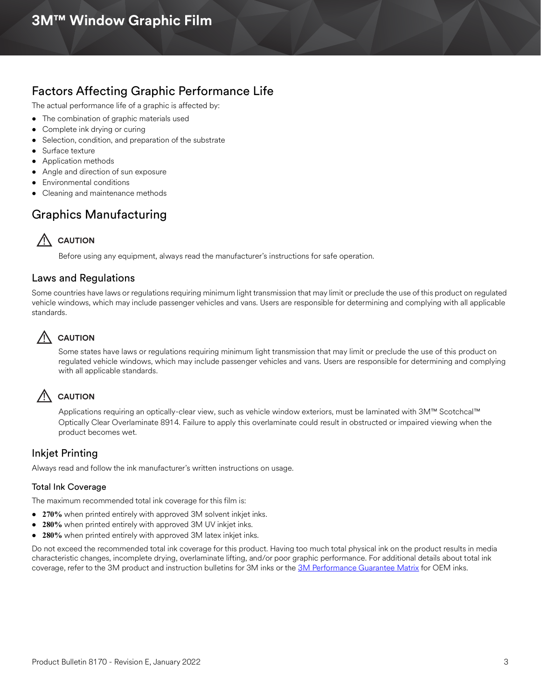# Factors Affecting Graphic Performance Life

The actual performance life of a graphic is affected by:

- The combination of graphic materials used
- Complete ink drying or curing
- Selection, condition, and preparation of the substrate
- Surface texture
- Application methods
- Angle and direction of sun exposure
- Environmental conditions
- Cleaning and maintenance methods

# Graphics Manufacturing

# **AUTION**

Before using any equipment, always read the manufacturer's instructions for safe operation.

#### Laws and Regulations

Some countries have laws or regulations requiring minimum light transmission that may limit or preclude the use of this product on regulated vehicle windows, which may include passenger vehicles and vans. Users are responsible for determining and complying with all applicable standards.

## $\bigwedge$  **CAUTION**

Some states have laws or regulations requiring minimum light transmission that may limit or preclude the use of this product on regulated vehicle windows, which may include passenger vehicles and vans. Users are responsible for determining and complying with all applicable standards.

## ! **CAUTION**

Applications requiring an optically-clear view, such as vehicle window exteriors, must be laminated with 3M™ Scotchcal™ Optically Clear Overlaminate 8914. Failure to apply this overlaminate could result in obstructed or impaired viewing when the product becomes wet.

#### Inkjet Printing

Always read and follow the ink manufacturer's written instructions on usage.

#### Total Ink Coverage

The maximum recommended total ink coverage for this film is:

- **270%** when printed entirely with approved 3M solvent inkjet inks.
- **280%** when printed entirely with approved 3M UV inkjet inks.
- **280%** when printed entirely with approved 3M latex inkjet inks.

Do not exceed the recommended total ink coverage for this product. Having too much total physical ink on the product results in media characteristic changes, incomplete drying, overlaminate lifting, and/or poor graphic performance. For additional details about total ink coverage, refer to the 3M product and instruction bulletins for 3M inks or the [3M Performance Guarantee Matrix](www.3mgraphics.com/warranties) for OEM inks.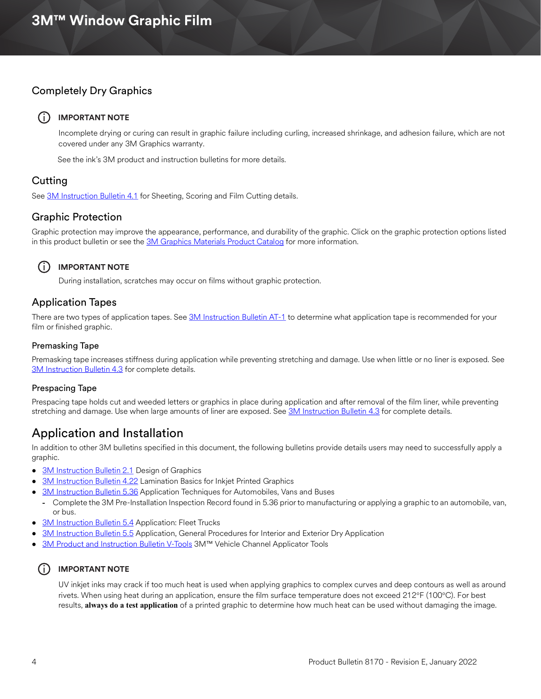## Completely Dry Graphics

#### (i) **IMPORTANT NOTE**

Incomplete drying or curing can result in graphic failure including curling, increased shrinkage, and adhesion failure, which are not covered under any 3M Graphics warranty.

See the ink's 3M product and instruction bulletins for more details.

## Cutting

See [3M Instruction Bulletin 4.1](http://multimedia.3m.com/mws/media/12586O/4-1-scoring-and-cutting.pdf) for Sheeting, Scoring and Film Cutting details.

#### Graphic Protection

Graphic protection may improve the appearance, performance, and durability of the graphic. Click on the graphic protection options listed in this product bulletin or see the [3M Graphics Materials Product Catalog](http://multimedia.3m.com/mws/media/443279O/inkjet-catalog-lowres.pdf) for more information.



#### **IMPORTANT NOTE**

During installation, scratches may occur on films without graphic protection.

#### Application Tapes

There are two types of application tapes. See [3M Instruction Bulletin AT-1](http://multimedia.3m.com/mws/media/1032943O/instruction-bulletin-at-1-application-tables.pdf) to determine what application tape is recommended for your film or finished graphic.

#### Premasking Tape

Premasking tape increases stiffness during application while preventing stretching and damage. Use when little or no liner is exposed. See [3M Instruction Bulletin 4.3](http://multimedia.3m.com/mws/media/12587O/4-3-application-tapes-premasking-and-prespacing.pdf) for complete details.

#### Prespacing Tape

Prespacing tape holds cut and weeded letters or graphics in place during application and after removal of the film liner, while preventing stretching and damage. Use when large amounts of liner are exposed. See [3M Instruction Bulletin 4.3](http://multimedia.3m.com/mws/media/12587O/4-3-application-tapes-premasking-and-prespacing.pdf) for complete details.

## Application and Installation

In addition to other 3M bulletins specified in this document, the following bulletins provide details users may need to successfully apply a graphic.

- [3M Instruction Bulletin 2.1](http://multimedia.3m.com/mws/media/12591O/2-1-design-of-graphics.pdf) Design of Graphics
- [3M Instruction Bulletin 4.22](http://multimedia.3m.com/mws/media/12768O/4-22-lamination-cold-roll.pdf) Lamination Basics for Inkjet Printed Graphics
- [3M Instruction Bulletin 5.36](http://multimedia.3m.com/mws/media/100373O/5-36-application-techniques-for-automobiles-vans-and-buses.pdf) Application Techniques for Automobiles, Vans and Buses
	- **-** Complete the 3M Pre-Installation Inspection Record found in 5.36 prior to manufacturing or applying a graphic to an automobile, van, or bus.
- [3M Instruction Bulletin 5.4](http://multimedia.3m.com/mws/media/12597O/5-4-application-of-film-to-vehicles-special-applications.pdf) Application: Fleet Trucks
- [3M Instruction Bulletin 5.5](https://multimedia.3m.com/mws/media/9620O/5-5-application-dry-method.pdf) Application, General Procedures for Interior and Exterior Dry Application
- [3M Product and Instruction Bulletin V-Tools](https://multimedia.3m.com/mws/media/471744O/vehicle-channel-applicator-tools-vcat-2-roller-l-roller-s.pdf) 3M™ Vehicle Channel Applicator Tools

#### $(i)$  **IMPORTANT NOTE**

UV inkjet inks may crack if too much heat is used when applying graphics to complex curves and deep contours as well as around rivets. When using heat during an application, ensure the film surface temperature does not exceed 212°F (100°C). For best results, **always do a test application** of a printed graphic to determine how much heat can be used without damaging the image.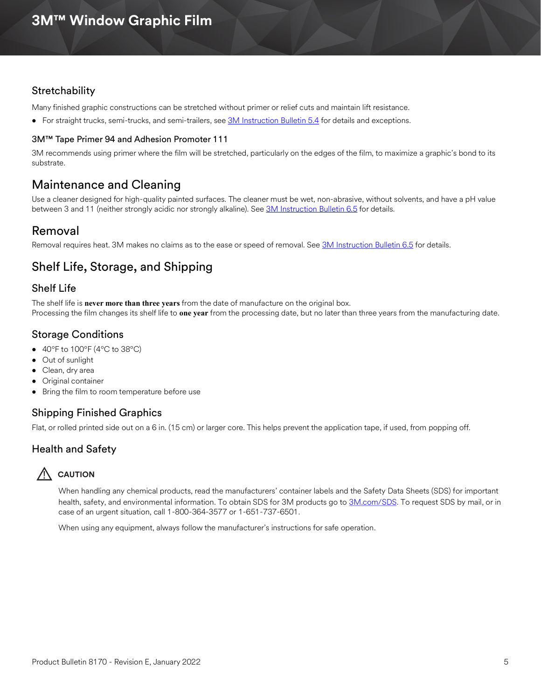## **Stretchability**

Many finished graphic constructions can be stretched without primer or relief cuts and maintain lift resistance.

• For straight trucks, semi-trucks, and semi-trailers, see [3M Instruction Bulletin 5.4](http://multimedia.3m.com/mws/media/12597O/5-4-application-of-film-to-vehicles-special-applications.pdf) for details and exceptions.

#### 3M™ Tape Primer 94 and Adhesion Promoter 111

3M recommends using primer where the film will be stretched, particularly on the edges of the film, to maximize a graphic's bond to its substrate.

## Maintenance and Cleaning

Use a cleaner designed for high-quality painted surfaces. The cleaner must be wet, non-abrasive, without solvents, and have a pH value between 3 and 11 (neither strongly acidic nor strongly alkaline). See [3M Instruction Bulletin 6.5](http://multimedia.3m.com/mws/media/12593O/6-5-storage-handling-maintenance-removal-of-films-sheetings.pdf) for details.

## Removal

Removal requires heat. 3M makes no claims as to the ease or speed of removal. See [3M Instruction Bulletin 6.5](http://multimedia.3m.com/mws/media/12593O/6-5-storage-handling-maintenance-removal-of-films-sheetings.pdf) for details.

# Shelf Life, Storage, and Shipping

## Shelf Life

The shelf life is **never more than three years** from the date of manufacture on the original box. Processing the film changes its shelf life to **one year** from the processing date, but no later than three years from the manufacturing date.

## Storage Conditions

- $\bullet$  40°F to 100°F (4°C to 38°C)
- Out of sunlight
- Clean, dry area
- Original container
- Bring the film to room temperature before use

## Shipping Finished Graphics

Flat, or rolled printed side out on a 6 in. (15 cm) or larger core. This helps prevent the application tape, if used, from popping off.

## Health and Safety

## **AUTION**

When handling any chemical products, read the manufacturers' container labels and the Safety Data Sheets (SDS) for important health, safety, and environmental information. To obtain SDS for 3M products go to [3M.com/SDS](http://www.3m.com/SDS). To request SDS by mail, or in case of an urgent situation, call 1-800-364-3577 or 1-651-737-6501.

When using any equipment, always follow the manufacturer's instructions for safe operation.